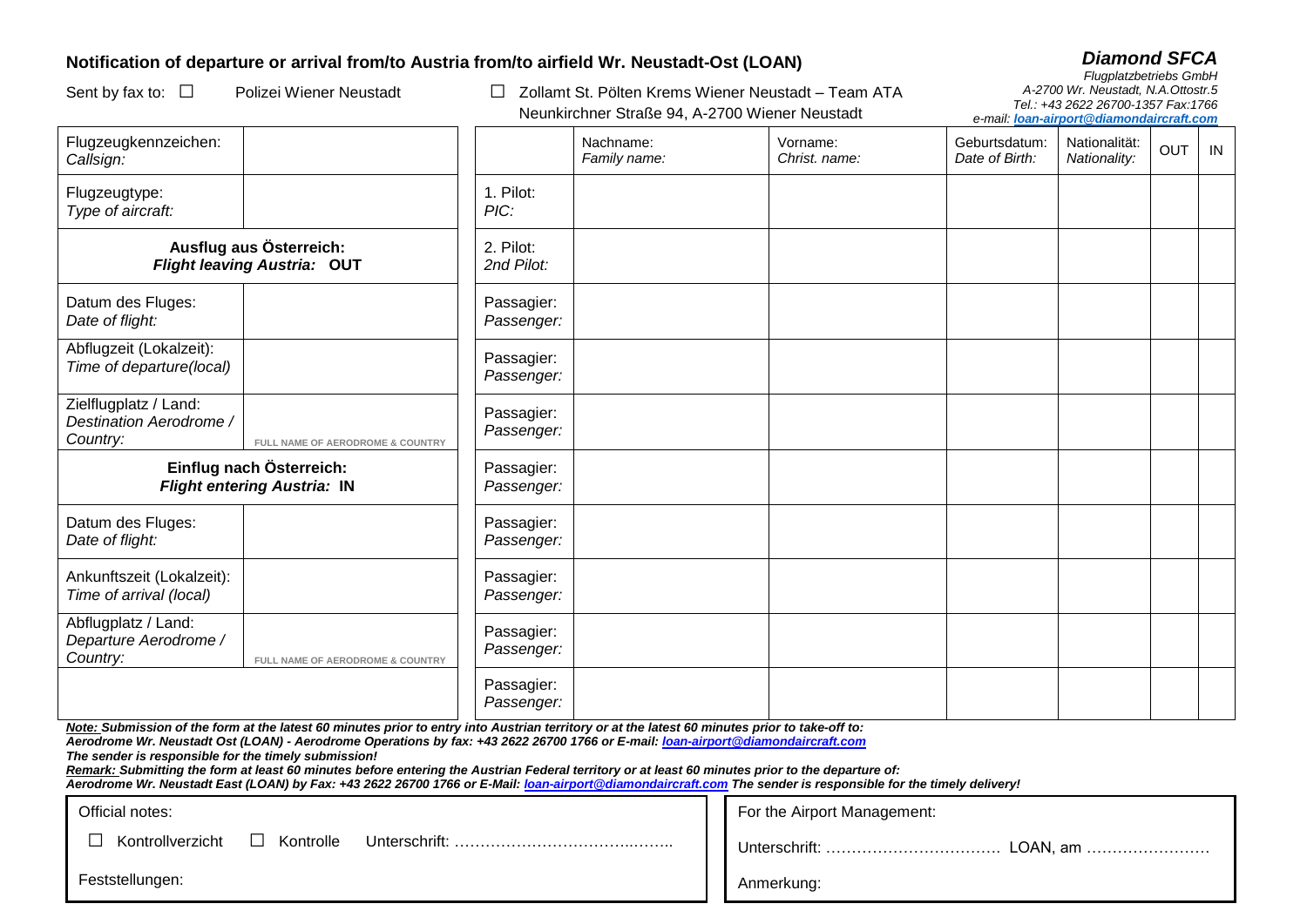## **Notification of departure or arrival from/to Austria from/to airfield Wr. Neustadt-Ost (LOAN)**

□ Kontrollverzicht

Feststellungen:

Sent by fax to: □ Polizei Wiener Neustadt □ Zollamt St. Pölten Krems Wiener Neustadt – Team ATA Neunkirchner Straße 94, A-2700 Wiener Neustadt

| <b>Diamond SFCA</b>                |
|------------------------------------|
| <b>Flugplatzbetriebs GmbH</b>      |
| A-2700 Wr. Neustadt, N.A.Ottostr.5 |
| Tel.: +43 2622 26700-1357 Fax:1766 |

*e-mail: loan-airport@diamondaircraft.com*

| Flugzeugkennzeichen:<br>Callsign:                                                                                                                                                                                                                                                                                                                                                                                                                                                                                                                                                                                                                                |                                  |                          | Nachname:<br>Family name: | Vorname:<br>Christ, name:   | Geburtsdatum:<br>Date of Birth: | Nationalität:<br>Nationality: | <b>OUT</b> | IN |  |  |  |
|------------------------------------------------------------------------------------------------------------------------------------------------------------------------------------------------------------------------------------------------------------------------------------------------------------------------------------------------------------------------------------------------------------------------------------------------------------------------------------------------------------------------------------------------------------------------------------------------------------------------------------------------------------------|----------------------------------|--------------------------|---------------------------|-----------------------------|---------------------------------|-------------------------------|------------|----|--|--|--|
| Flugzeugtype:<br>Type of aircraft:                                                                                                                                                                                                                                                                                                                                                                                                                                                                                                                                                                                                                               |                                  | 1. Pilot:<br>PIC:        |                           |                             |                                 |                               |            |    |  |  |  |
| Ausflug aus Österreich:<br><b>Flight leaving Austria: OUT</b>                                                                                                                                                                                                                                                                                                                                                                                                                                                                                                                                                                                                    |                                  | 2. Pilot:<br>2nd Pilot:  |                           |                             |                                 |                               |            |    |  |  |  |
| Datum des Fluges:<br>Date of flight:                                                                                                                                                                                                                                                                                                                                                                                                                                                                                                                                                                                                                             |                                  | Passagier:<br>Passenger: |                           |                             |                                 |                               |            |    |  |  |  |
| Abflugzeit (Lokalzeit):<br>Time of departure(local)                                                                                                                                                                                                                                                                                                                                                                                                                                                                                                                                                                                                              |                                  | Passagier:<br>Passenger: |                           |                             |                                 |                               |            |    |  |  |  |
| Zielflugplatz / Land:<br>Destination Aerodrome /<br>Country:                                                                                                                                                                                                                                                                                                                                                                                                                                                                                                                                                                                                     | FULL NAME OF AERODROME & COUNTRY | Passagier:<br>Passenger: |                           |                             |                                 |                               |            |    |  |  |  |
| Einflug nach Österreich:<br><b>Flight entering Austria: IN</b>                                                                                                                                                                                                                                                                                                                                                                                                                                                                                                                                                                                                   |                                  | Passagier:<br>Passenger: |                           |                             |                                 |                               |            |    |  |  |  |
| Datum des Fluges:<br>Date of flight:                                                                                                                                                                                                                                                                                                                                                                                                                                                                                                                                                                                                                             |                                  | Passagier:<br>Passenger: |                           |                             |                                 |                               |            |    |  |  |  |
| Ankunftszeit (Lokalzeit):<br>Time of arrival (local)                                                                                                                                                                                                                                                                                                                                                                                                                                                                                                                                                                                                             |                                  | Passagier:<br>Passenger: |                           |                             |                                 |                               |            |    |  |  |  |
| Abflugplatz / Land:<br>Departure Aerodrome /<br>Country:                                                                                                                                                                                                                                                                                                                                                                                                                                                                                                                                                                                                         | FULL NAME OF AERODROME & COUNTRY | Passagier:<br>Passenger: |                           |                             |                                 |                               |            |    |  |  |  |
|                                                                                                                                                                                                                                                                                                                                                                                                                                                                                                                                                                                                                                                                  |                                  | Passagier:<br>Passenger: |                           |                             |                                 |                               |            |    |  |  |  |
| Note: Submission of the form at the latest 60 minutes prior to entry into Austrian territory or at the latest 60 minutes prior to take-off to:<br>Aerodrome Wr. Neustadt Ost (LOAN) - Aerodrome Operations by fax: +43 2622 26700 1766 or E-mail: loan-airport@diamondaircraft.com<br>The sender is responsible for the timely submission!<br>Remark: Submitting the form at least 60 minutes before entering the Austrian Federal territory or at least 60 minutes prior to the departure of:<br>Aerodrome Wr. Neustadt East (LOAN) by Fax: +43 2622 26700 1766 or E-Mail: loan-airport @diamondaircraft.com The sender is responsible for the timely delivery! |                                  |                          |                           |                             |                                 |                               |            |    |  |  |  |
| Official notes:                                                                                                                                                                                                                                                                                                                                                                                                                                                                                                                                                                                                                                                  |                                  |                          |                           | For the Airport Management: |                                 |                               |            |    |  |  |  |

|                            |  | For the Allport Management. |            |  |
|----------------------------|--|-----------------------------|------------|--|
| Kontrolle<br>Unterschrift: |  |                             |            |  |
|                            |  |                             | Anmerkung: |  |